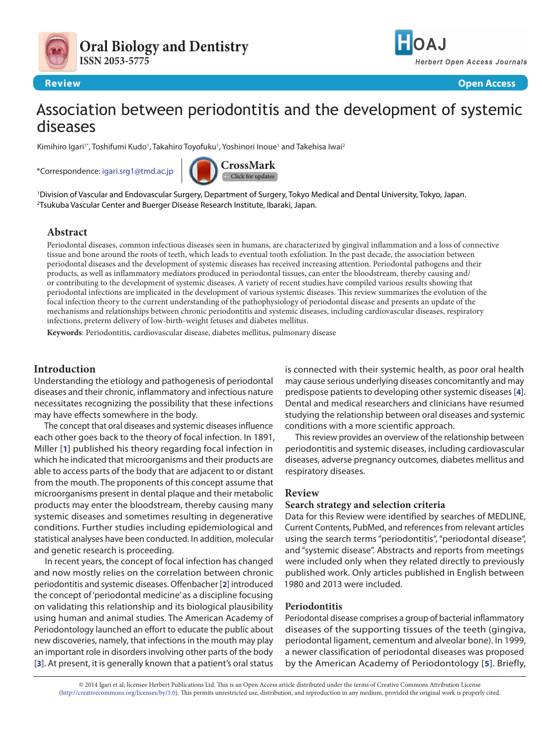



## **Review Open Access**

# Association between periodontitis and the development of systemic diseases

Kimihiro Igari'\*, Toshifumi Kudo', Takahiro Toyofuku', Yoshinori Inoue' and Takehisa Iwai<sup>2</sup>

\*Correspondence: [igari.srg1@tmd.ac.jp](mailto:igari.srg1%40tmd.ac.jp?subject=)



1 Division of Vascular and Endovascular Surgery, Department of Surgery, Tokyo Medical and Dental University, Tokyo, Japan. 2 Tsukuba Vascular Center and Buerger Disease Research Institute, Ibaraki, Japan.

# **Abstract**

Periodontal diseases, common infectious diseases seen in humans, are characterized by gingival inflammation and a loss of connective tissue and bone around the roots of teeth, which leads to eventual tooth exfoliation. In the past decade, the association between periodontal diseases and the development of systemic diseases has received increasing attention. Periodontal pathogens and their products, as well as inflammatory mediators produced in periodontal tissues, can enter the bloodstream, thereby causing and/ or contributing to the development of systemic diseases. A variety of recent studies have compiled various results showing that periodontal infections are implicated in the development of various systemic diseases. This review summarizes the evolution of the focal infection theory to the current understanding of the pathophysiology of periodontal disease and presents an update of the mechanisms and relationships between chronic periodontitis and systemic diseases, including cardiovascular diseases, respiratory infections, preterm delivery of low-birth-weight fetuses and diabetes mellitus.

**Keywords**: Periodontitis, cardiovascular disease, diabetes mellitus, pulmonary disease

# **Introduction**

Understanding the etiology and pathogenesis of periodontal diseases and their chronic, inflammatory and infectious nature necessitates recognizing the possibility that these infections may have effects somewhere in the body.

The concept that oral diseases and systemic diseases influence each other goes back to the theory of focal infection. In 1891, Miller [**[1](#page-4-0)**] published his theory regarding focal infection in which he indicated that microorganisms and their products are able to access parts of the body that are adjacent to or distant from the mouth. The proponents of this concept assume that microorganisms present in dental plaque and their metabolic products may enter the bloodstream, thereby causing many systemic diseases and sometimes resulting in degenerative conditions. Further studies including epidemiological and statistical analyses have been conducted. In addition, molecular and genetic research is proceeding.

In recent years, the concept of focal infection has changed and now mostly relies on the correlation between chronic periodontitis and systemic diseases. Offenbacher [**[2](#page-4-1)**] introduced the concept of 'periodontal medicine' as a discipline focusing on validating this relationship and its biological plausibility using human and animal studies. The American Academy of Periodontology launched an effort to educate the public about new discoveries, namely, that infections in the mouth may play an important role in disorders involving other parts of the body [**[3](#page-4-2)**]. At present, it is generally known that a patient's oral status

is connected with their systemic health, as poor oral health may cause serious underlying diseases concomitantly and may predispose patients to developing other systemic diseases [**[4](#page-4-3)**]. Dental and medical researchers and clinicians have resumed studying the relationship between oral diseases and systemic conditions with a more scientific approach.

This review provides an overview of the relationship between periodontitis and systemic diseases, including cardiovascular diseases, adverse pregnancy outcomes, diabetes mellitus and respiratory diseases.

# **Review**

## **Search strategy and selection criteria**

Data for this Review were identified by searches of MEDLINE, Current Contents, PubMed, and references from relevant articles using the search terms "periodontitis", "periodontal disease", and "systemic disease". Abstracts and reports from meetings were included only when they related directly to previously published work. Only articles published in English between 1980 and 2013 were included.

# **Periodontitis**

Periodontal disease comprises a group of bacterial inflammatory diseases of the supporting tissues of the teeth (gingiva, periodontal ligament, cementum and alveolar bone). In 1999, a newer classification of periodontal diseases was proposed by the American Academy of Periodontology [**[5](#page-4-4)**]. Briefly,

© 2014 Igari et al; licensee Herbert Publications Ltd. This is an Open Access article distributed under the terms of Creative Commons Attribution License [\(http://creativecommons.org/licenses/by/3.0\)](http://creativecommons.org/licenses/by/3.0). This permits unrestricted use, distribution, and reproduction in any medium, provided the original work is properly cited.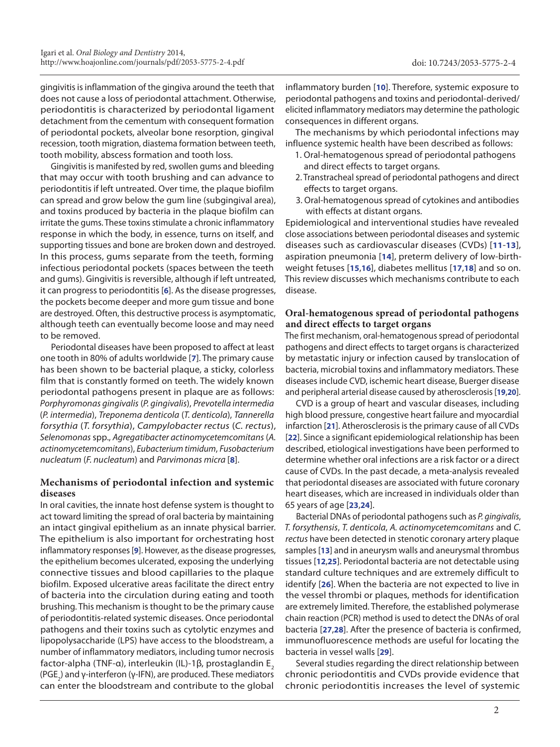gingivitis is inflammation of the gingiva around the teeth that does not cause a loss of periodontal attachment. Otherwise, periodontitis is characterized by periodontal ligament detachment from the cementum with consequent formation of periodontal pockets, alveolar bone resorption, gingival recession, tooth migration, diastema formation between teeth, tooth mobility, abscess formation and tooth loss.

Gingivitis is manifested by red, swollen gums and bleeding that may occur with tooth brushing and can advance to periodontitis if left untreated. Over time, the plaque biofilm can spread and grow below the gum line (subgingival area), and toxins produced by bacteria in the plaque biofilm can irritate the gums. These toxins stimulate a chronic inflammatory response in which the body, in essence, turns on itself, and supporting tissues and bone are broken down and destroyed. In this process, gums separate from the teeth, forming infectious periodontal pockets (spaces between the teeth and gums). Gingivitis is reversible, although if left untreated, it can progress to periodontitis [**[6](#page-4-5)**]. As the disease progresses, the pockets become deeper and more gum tissue and bone are destroyed. Often, this destructive process is asymptomatic, although teeth can eventually become loose and may need to be removed.

Periodontal diseases have been proposed to affect at least one tooth in 80% of adults worldwide [**[7](#page-4-6)**]. The primary cause has been shown to be bacterial plaque, a sticky, colorless film that is constantly formed on teeth. The widely known periodontal pathogens present in plaque are as follows: *Porphyromonas gingivalis* (*P. gingivalis*), *Prevotella intermedia* (*P. intermedia*), *Treponema denticola* (*T. denticola*), *Tannerella forsythia* (*T. forsythia*), *Campylobacter rectus* (*C. rectus*), *Selenomonas* spp., *Agregatibacter actinomycetemcomitans* (*A. actinomycetemcomitans*), *Eubacterium timidum*, *Fusobacterium nucleatum* (*F. nucleatum*) and *Parvimonas micra* [**[8](#page-4-7)**].

# **Mechanisms of periodontal infection and systemic diseases**

In oral cavities, the innate host defense system is thought to act toward limiting the spread of oral bacteria by maintaining an intact gingival epithelium as an innate physical barrier. The epithelium is also important for orchestrating host inflammatory responses [**[9](#page-4-8)**]. However, as the disease progresses, the epithelium becomes ulcerated, exposing the underlying connective tissues and blood capillaries to the plaque biofilm. Exposed ulcerative areas facilitate the direct entry of bacteria into the circulation during eating and tooth brushing. This mechanism is thought to be the primary cause of periodontitis-related systemic diseases. Once periodontal pathogens and their toxins such as cytolytic enzymes and lipopolysaccharide (LPS) have access to the bloodstream, a number of inflammatory mediators, including tumor necrosis factor-alpha (TNF-α), interleukin (IL)-1β, prostaglandin E<sub>2</sub> (PGE<sub>2</sub>) and γ-interferon (γ-IFN), are produced. These mediators can enter the bloodstream and contribute to the global

inflammatory burden [**[10](#page-4-9)**]. Therefore, systemic exposure to periodontal pathogens and toxins and periodontal-derived/ elicited inflammatory mediators may determine the pathologic consequences in different organs.

The mechanisms by which periodontal infections may influence systemic health have been described as follows:

- 1. Oral-hematogenous spread of periodontal pathogens and direct effects to target organs.
- 2. Transtracheal spread of periodontal pathogens and direct effects to target organs.
- 3. Oral-hematogenous spread of cytokines and antibodies with effects at distant organs.

Epidemiological and interventional studies have revealed close associations between periodontal diseases and systemic diseases such as cardiovascular diseases (CVDs) [**[11](#page-4-10)**-**[13](#page-4-11)**], aspiration pneumonia [**[14](#page-5-0)**], preterm delivery of low-birthweight fetuses [**[15](#page-5-1)**,**[16](#page-5-2)**], diabetes mellitus [**[17](#page-5-3)**,**[18](#page-5-4)**] and so on. This review discusses which mechanisms contribute to each disease.

## **Oral-hematogenous spread of periodontal pathogens and direct effects to target organs**

The first mechanism, oral-hematogenous spread of periodontal pathogens and direct effects to target organs is characterized by metastatic injury or infection caused by translocation of bacteria, microbial toxins and inflammatory mediators. These diseases include CVD, ischemic heart disease, Buerger disease and peripheral arterial disease caused by atherosclerosis [**[19](#page-5-5)**,**[20](#page-5-6)**].

CVD is a group of heart and vascular diseases, including high blood pressure, congestive heart failure and myocardial infarction [**[21](#page-5-7)**]. Atherosclerosis is the primary cause of all CVDs [**[22](#page-5-8)**]. Since a significant epidemiological relationship has been described, etiological investigations have been performed to determine whether oral infections are a risk factor or a direct cause of CVDs. In the past decade, a meta-analysis revealed that periodontal diseases are associated with future coronary heart diseases, which are increased in individuals older than 65 years of age [**[23](#page-5-9)**,**[24](#page-5-10)**].

Bacterial DNAs of periodontal pathogens such as *P. gingivalis*, *T. forsythensis*, *T. denticola*, *A. actinomycetemcomitans* and *C. rectus* have been detected in stenotic coronary artery plaque samples [**[13](#page-4-11)**] and in aneurysm walls and aneurysmal thrombus tissues [**[12](#page-4-12)**,**[25](#page-5-11)**]. Periodontal bacteria are not detectable using standard culture techniques and are extremely difficult to identify [**[26](#page-5-12)**]. When the bacteria are not expected to live in the vessel thrombi or plaques, methods for identification are extremely limited. Therefore, the established polymerase chain reaction (PCR) method is used to detect the DNAs of oral bacteria [**[27](#page-5-13)**,**[28](#page-5-14)**]. After the presence of bacteria is confirmed, immunofluorescence methods are useful for locating the bacteria in vessel walls [**[29](#page-5-15)**].

Several studies regarding the direct relationship between chronic periodontitis and CVDs provide evidence that chronic periodontitis increases the level of systemic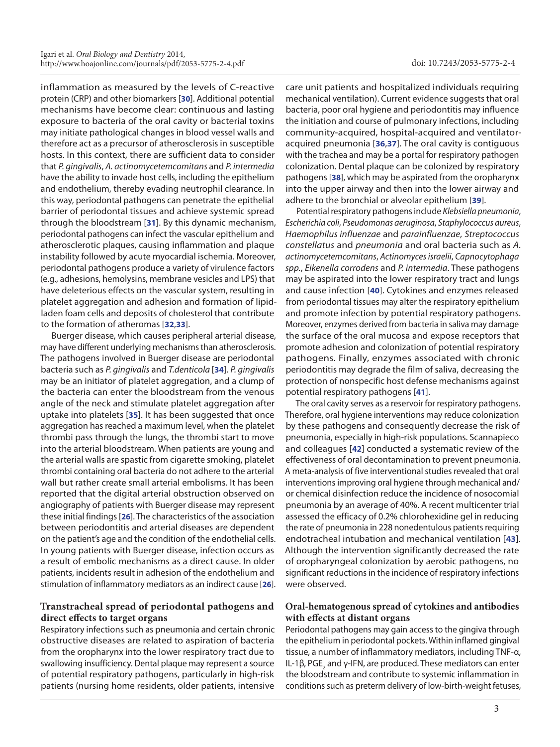inflammation as measured by the levels of C-reactive protein (CRP) and other biomarkers [**[30](#page-5-16)**]. Additional potential mechanisms have become clear: continuous and lasting exposure to bacteria of the oral cavity or bacterial toxins may initiate pathological changes in blood vessel walls and therefore act as a precursor of atherosclerosis in susceptible hosts. In this context, there are sufficient data to consider that *P. gingivalis*, *A. actinomycetemcomitans* and *P. intermedia* have the ability to invade host cells, including the epithelium and endothelium, thereby evading neutrophil clearance. In this way, periodontal pathogens can penetrate the epithelial barrier of periodontal tissues and achieve systemic spread through the bloodstream [**[31](#page-5-17)**]. By this dynamic mechanism, periodontal pathogens can infect the vascular epithelium and atherosclerotic plaques, causing inflammation and plaque instability followed by acute myocardial ischemia. Moreover, periodontal pathogens produce a variety of virulence factors (e.g., adhesions, hemolysins, membrane vesicles and LPS) that have deleterious effects on the vascular system, resulting in platelet aggregation and adhesion and formation of lipidladen foam cells and deposits of cholesterol that contribute to the formation of atheromas [**[32](#page-5-18)**,**[33](#page-5-19)**].

Buerger disease, which causes peripheral arterial disease, may have different underlying mechanisms than atherosclerosis. The pathogens involved in Buerger disease are periodontal bacteria such as *P. gingivalis* and *T.denticola* [**[34](#page-5-20)**]. *P. gingivalis* may be an initiator of platelet aggregation, and a clump of the bacteria can enter the bloodstream from the venous angle of the neck and stimulate platelet aggregation after uptake into platelets [**[35](#page-5-21)**]. It has been suggested that once aggregation has reached a maximum level, when the platelet thrombi pass through the lungs, the thrombi start to move into the arterial bloodstream. When patients are young and the arterial walls are spastic from cigarette smoking, platelet thrombi containing oral bacteria do not adhere to the arterial wall but rather create small arterial embolisms. It has been reported that the digital arterial obstruction observed on angiography of patients with Buerger disease may represent these initial findings [**[26](#page-5-12)**]. The characteristics of the association between periodontitis and arterial diseases are dependent on the patient's age and the condition of the endothelial cells. In young patients with Buerger disease, infection occurs as a result of embolic mechanisms as a direct cause. In older patients, incidents result in adhesion of the endothelium and stimulation of inflammatory mediators as an indirect cause [**[26](#page-5-12)**].

# **Transtracheal spread of periodontal pathogens and direct effects to target organs**

Respiratory infections such as pneumonia and certain chronic obstructive diseases are related to aspiration of bacteria from the oropharynx into the lower respiratory tract due to swallowing insufficiency. Dental plaque may represent a source of potential respiratory pathogens, particularly in high-risk patients (nursing home residents, older patients, intensive

care unit patients and hospitalized individuals requiring mechanical ventilation). Current evidence suggests that oral bacteria, poor oral hygiene and periodontitis may influence the initiation and course of pulmonary infections, including community-acquired, hospital-acquired and ventilatoracquired pneumonia [**[36](#page-5-22)**,**[37](#page-5-23)**]. The oral cavity is contiguous with the trachea and may be a portal for respiratory pathogen colonization. Dental plaque can be colonized by respiratory pathogens [**[38](#page-5-24)**], which may be aspirated from the oropharynx into the upper airway and then into the lower airway and adhere to the bronchial or alveolar epithelium [**[39](#page-5-25)**].

Potential respiratory pathogens include *Klebsiella pneumonia*, *Escherichia coli*, *Pseudomonas aeruginosa*, *Staphylococcus aureus*, *Haemophilus influenzae* and *parainfluenzae*, *Streptococcus constellatus* and *pneumonia* and oral bacteria such as *A. actinomycetemcomitans*, *Actinomyces israelii*, *Capnocytophaga spp.*, *Eikenella corrodens* and *P. intermedia*. These pathogens may be aspirated into the lower respiratory tract and lungs and cause infection [**[40](#page-5-26)**]. Cytokines and enzymes released from periodontal tissues may alter the respiratory epithelium and promote infection by potential respiratory pathogens. Moreover, enzymes derived from bacteria in saliva may damage the surface of the oral mucosa and expose receptors that promote adhesion and colonization of potential respiratory pathogens. Finally, enzymes associated with chronic periodontitis may degrade the film of saliva, decreasing the protection of nonspecific host defense mechanisms against potential respiratory pathogens [**[41](#page-5-27)**].

The oral cavity serves as a reservoir for respiratory pathogens. Therefore, oral hygiene interventions may reduce colonization by these pathogens and consequently decrease the risk of pneumonia, especially in high-risk populations. Scannapieco and colleagues [**[42](#page-5-28)**] conducted a systematic review of the effectiveness of oral decontamination to prevent pneumonia. A meta-analysis of five interventional studies revealed that oral interventions improving oral hygiene through mechanical and/ or chemical disinfection reduce the incidence of nosocomial pneumonia by an average of 40%. A recent multicenter trial assessed the efficacy of 0.2% chlorohexidine gel in reducing the rate of pneumonia in 228 nonedentulous patients requiring endotracheal intubation and mechanical ventilation [**[43](#page-5-29)**]. Although the intervention significantly decreased the rate of oropharyngeal colonization by aerobic pathogens, no significant reductions in the incidence of respiratory infections were observed.

# **Oral-hematogenous spread of cytokines and antibodies with effects at distant organs**

Periodontal pathogens may gain access to the gingiva through the epithelium in periodontal pockets. Within inflamed gingival tissue, a number of inflammatory mediators, including TNF-α, IL-1β, PGE<sub>2</sub> and γ-IFN, are produced. These mediators can enter the bloodstream and contribute to systemic inflammation in conditions such as preterm delivery of low-birth-weight fetuses,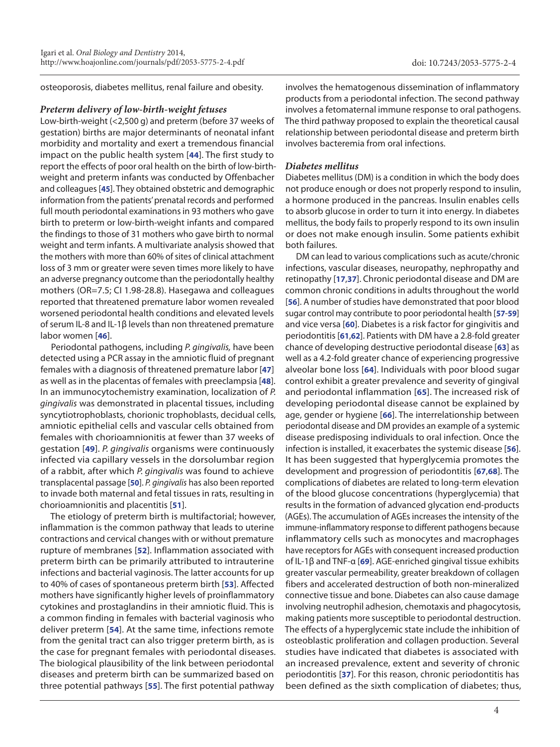osteoporosis, diabetes mellitus, renal failure and obesity.

### *Preterm delivery of low-birth-weight fetuses*

Low-birth-weight (<2,500 g) and preterm (before 37 weeks of gestation) births are major determinants of neonatal infant morbidity and mortality and exert a tremendous financial impact on the public health system [**[44](#page-5-30)**]. The first study to report the effects of poor oral health on the birth of low-birthweight and preterm infants was conducted by Offenbacher and colleagues [**[45](#page-5-31)**]. They obtained obstetric and demographic information from the patients' prenatal records and performed full mouth periodontal examinations in 93 mothers who gave birth to preterm or low-birth-weight infants and compared the findings to those of 31 mothers who gave birth to normal weight and term infants. A multivariate analysis showed that the mothers with more than 60% of sites of clinical attachment loss of 3 mm or greater were seven times more likely to have an adverse pregnancy outcome than the periodontally healthy mothers (OR=7.5; CI 1.98-28.8). Hasegawa and colleagues reported that threatened premature labor women revealed worsened periodontal health conditions and elevated levels of serum IL-8 and IL-1β levels than non threatened premature labor women [**[46](#page-5-32)**].

Periodontal pathogens, including *P. gingivalis,* have been detected using a PCR assay in the amniotic fluid of pregnant females with a diagnosis of threatened premature labor [**[47](#page-5-33)**] as well as in the placentas of females with preeclampsia [**[48](#page-5-34)**]. In an immunocytochemistry examination, localization of *P. gingivalis* was demonstrated in placental tissues, including syncytiotrophoblasts, chorionic trophoblasts, decidual cells, amniotic epithelial cells and vascular cells obtained from females with chorioamnionitis at fewer than 37 weeks of gestation [**[49](#page-5-35)**]. *P. gingivalis* organisms were continuously infected via capillary vessels in the dorsolumbar region of a rabbit, after which *P. gingivalis* was found to achieve transplacental passage [**[50](#page-5-36)**]. *P. gingivalis* has also been reported to invade both maternal and fetal tissues in rats, resulting in chorioamnionitis and placentitis [**[51](#page-5-37)**].

The etiology of preterm birth is multifactorial; however, inflammation is the common pathway that leads to uterine contractions and cervical changes with or without premature rupture of membranes [**[52](#page-6-0)**]. Inflammation associated with preterm birth can be primarily attributed to intrauterine infections and bacterial vaginosis. The latter accounts for up to 40% of cases of spontaneous preterm birth [**[53](#page-6-1)**]. Affected mothers have significantly higher levels of proinflammatory cytokines and prostaglandins in their amniotic fluid. This is a common finding in females with bacterial vaginosis who deliver preterm [**[54](#page-6-2)**]. At the same time, infections remote from the genital tract can also trigger preterm birth, as is the case for pregnant females with periodontal diseases. The biological plausibility of the link between periodontal diseases and preterm birth can be summarized based on three potential pathways [**[55](#page-6-3)**]. The first potential pathway

involves the hematogenous dissemination of inflammatory products from a periodontal infection. The second pathway involves a fetomaternal immune response to oral pathogens. The third pathway proposed to explain the theoretical causal relationship between periodontal disease and preterm birth involves bacteremia from oral infections.

## *Diabetes mellitus*

Diabetes mellitus (DM) is a condition in which the body does not produce enough or does not properly respond to insulin, a hormone produced in the pancreas. Insulin enables cells to absorb glucose in order to turn it into energy. In diabetes mellitus, the body fails to properly respond to its own insulin or does not make enough insulin. Some patients exhibit both failures.

DM can lead to various complications such as acute/chronic infections, vascular diseases, neuropathy, nephropathy and retinopathy [**[17](#page-5-3)**,**[37](#page-5-23)**]. Chronic periodontal disease and DM are common chronic conditions in adults throughout the world [**[56](#page-6-4)**]. A number of studies have demonstrated that poor blood sugar control may contribute to poor periodontal health [**[57](#page-6-5)**-**[59](#page-6-6)**] and vice versa [**[60](#page-6-7)**]. Diabetes is a risk factor for gingivitis and periodontitis [**[61](#page-6-8)**,**[62](#page-6-9)**]. Patients with DM have a 2.8-fold greater chance of developing destructive periodontal disease [**[63](#page-6-10)**] as well as a 4.2-fold greater chance of experiencing progressive alveolar bone loss [**[64](#page-6-11)**]. Individuals with poor blood sugar control exhibit a greater prevalence and severity of gingival and periodontal inflammation [**[65](#page-6-12)**]. The increased risk of developing periodontal disease cannot be explained by age, gender or hygiene [**[66](#page-6-13)**]. The interrelationship between periodontal disease and DM provides an example of a systemic disease predisposing individuals to oral infection. Once the infection is installed, it exacerbates the systemic disease [**[56](#page-6-4)**]. It has been suggested that hyperglycemia promotes the development and progression of periodontitis [**[67](#page-6-14)**,**[68](#page-6-15)**]. The complications of diabetes are related to long-term elevation of the blood glucose concentrations (hyperglycemia) that results in the formation of advanced glycation end-products (AGEs). The accumulation of AGEs increases the intensity of the immune-inflammatory response to different pathogens because inflammatory cells such as monocytes and macrophages have receptors for AGEs with consequent increased production of IL-1β and TNF-α [**[69](#page-6-16)**]. AGE-enriched gingival tissue exhibits greater vascular permeability, greater breakdown of collagen fibers and accelerated destruction of both non-mineralized connective tissue and bone. Diabetes can also cause damage involving neutrophil adhesion, chemotaxis and phagocytosis, making patients more susceptible to periodontal destruction. The effects of a hyperglycemic state include the inhibition of osteoblastic proliferation and collagen production. Several studies have indicated that diabetes is associated with an increased prevalence, extent and severity of chronic periodontitis [**[37](#page-5-23)**]. For this reason, chronic periodontitis has been defined as the sixth complication of diabetes; thus,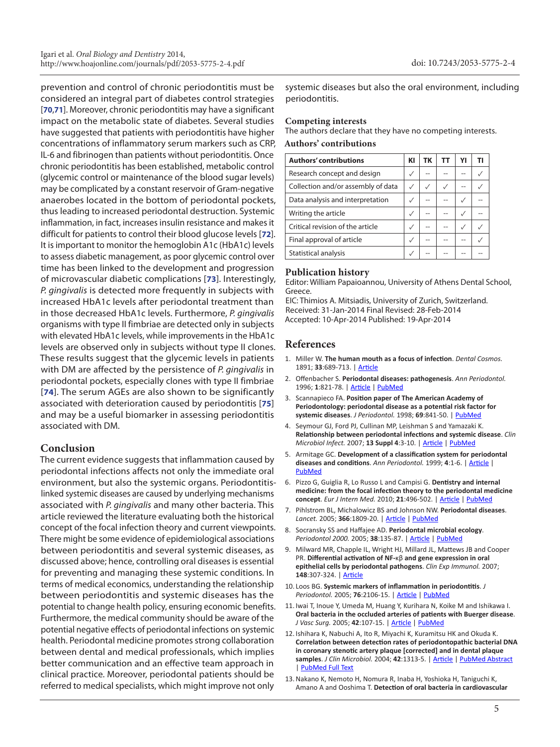prevention and control of chronic periodontitis must be considered an integral part of diabetes control strategies [**[70](#page-6-17)**,**[71](#page-6-18)**]. Moreover, chronic periodontitis may have a significant impact on the metabolic state of diabetes. Several studies have suggested that patients with periodontitis have higher concentrations of inflammatory serum markers such as CRP, IL-6 and fibrinogen than patients without periodontitis. Once chronic periodontitis has been established, metabolic control (glycemic control or maintenance of the blood sugar levels) may be complicated by a constant reservoir of Gram-negative anaerobes located in the bottom of periodontal pockets, thus leading to increased periodontal destruction. Systemic inflammation, in fact, increases insulin resistance and makes it difficult for patients to control their blood glucose levels [**[72](#page-6-19)**]. It is important to monitor the hemoglobin A1c (HbA1c) levels to assess diabetic management, as poor glycemic control over time has been linked to the development and progression of microvascular diabetic complications [**[73](#page-6-20)**]. Interestingly, *P. gingivalis* is detected more frequently in subjects with increased HbA1c levels after periodontal treatment than in those decreased HbA1c levels. Furthermore, *P. gingivalis* organisms with type II fimbriae are detected only in subjects with elevated HbA1c levels, while improvements in the HbA1c levels are observed only in subjects without type II clones. These results suggest that the glycemic levels in patients with DM are affected by the persistence of *P. gingivalis* in periodontal pockets, especially clones with type II fimbriae [**[74](#page-6-21)**]. The serum AGEs are also shown to be significantly associated with deterioration caused by periodontitis [**[75](#page-6-22)**] and may be a useful biomarker in assessing periodontitis associated with DM.

# **Conclusion**

The current evidence suggests that inflammation caused by periodontal infections affects not only the immediate oral environment, but also the systemic organs. Periodontitislinked systemic diseases are caused by underlying mechanisms associated with *P. gingivalis* and many other bacteria. This article reviewed the literature evaluating both the historical concept of the focal infection theory and current viewpoints. There might be some evidence of epidemiological associations between periodontitis and several systemic diseases, as discussed above; hence, controlling oral diseases is essential for preventing and managing these systemic conditions. In terms of medical economics, understanding the relationship between periodontitis and systemic diseases has the potential to change health policy, ensuring economic benefits. Furthermore, the medical community should be aware of the potential negative effects of periodontal infections on systemic health. Periodontal medicine promotes strong collaboration between dental and medical professionals, which implies better communication and an effective team approach in clinical practice. Moreover, periodontal patients should be referred to medical specialists, which might improve not only

systemic diseases but also the oral environment, including periodontitis.

### **Competing interests**

The authors declare that they have no competing interests.

#### **Authors' contributions**

| <b>Authors' contributions</b>      | KI | ТΚ | тт | Y١ |  |
|------------------------------------|----|----|----|----|--|
| Research concept and design        |    |    |    |    |  |
| Collection and/or assembly of data |    | ✓  |    |    |  |
| Data analysis and interpretation   |    |    |    |    |  |
| Writing the article                |    |    |    |    |  |
| Critical revision of the article   |    |    |    |    |  |
| Final approval of article          |    |    |    |    |  |
| Statistical analysis               |    |    |    |    |  |

### **Publication history**

Editor: William Papaioannou, University of Athens Dental School, Greece.

EIC: Thimios A. Mitsiadis, University of Zurich, Switzerland. Received: 31-Jan-2014 Final Revised: 28-Feb-2014 Accepted: 10-Apr-2014 Published: 19-Apr-2014

## **References**

- <span id="page-4-0"></span>1. Miller W. **The human mouth as a focus of infection**. *Dental Cosmos.* 1891; **33**:689-713. | [Article](http://www-personal.umich.edu/~pfa/denthist/articles/Miller1891.html)
- <span id="page-4-1"></span>2. Offenbacher S. **Periodontal diseases: pathogenesis**. *Ann Periodontol.* 1996; **1**:821-78. | [Article](http://dx.doi.org/10.1902/annals.1996.1.1.821) | [PubMed](http://www.ncbi.nlm.nih.gov/pubmed/9118282?dopt=Citation)
- <span id="page-4-2"></span>3. Scannapieco FA. **Position paper of The American Academy of Periodontology: periodontal disease as a potential risk factor for systemic diseases**. *J Periodontol.* 1998; **69**:841-50. | [PubMed](http://www.ncbi.nlm.nih.gov/pubmed/9706864?dopt=Citation)
- <span id="page-4-3"></span>4. Seymour GJ, Ford PJ, Cullinan MP, Leishman S and Yamazaki K. **Relationship between periodontal infections and systemic disease**. *Clin Microbiol Infect.* 2007; **13 Suppl 4**:3-10. | [Article](http://dx.doi.org/10.1111/j.1469-0691.2007.01798.x) | [PubMed](http://www.ncbi.nlm.nih.gov/pubmed/17716290?dopt=Citation)
- <span id="page-4-4"></span>5. Armitage GC. **Development of a classification system for periodontal diseases and conditions**. *Ann Periodontol.* 1999; **4**:1-6. | [Article](http://dx.doi.org/10.1902/annals.1999.4.1.1) | **[PubMed](http://www.ncbi.nlm.nih.gov/pubmed/10863370?dopt=Citation)**
- <span id="page-4-5"></span>6. Pizzo G, Guiglia R, Lo Russo L and Campisi G. **Dentistry and internal medicine: from the focal infection theory to the periodontal medicine concept**. *Eur J Intern Med.* 2010; **21**:496-502. | [Article](http://dx.doi.org/10.1016/j.ejim.2010.07.011) | [PubMed](http://www.ncbi.nlm.nih.gov/pubmed/21111933?dopt=Citation)
- <span id="page-4-6"></span>7. Pihlstrom BL, Michalowicz BS and Johnson NW. **Periodontal diseases**. *Lancet.* 2005; **366**:1809-20. | [Article](http://dx.doi.org/10.1016/S0140-6736(05)67728-8) | [PubMed](http://www.ncbi.nlm.nih.gov/pubmed/16298220?dopt=Citation)
- <span id="page-4-7"></span>8. Socransky SS and Haffajee AD. **Periodontal microbial ecology**. *Periodontol 2000.* 2005; **38**:135-87. | [Article](http://dx.doi.org/10.1111/j.1600-0757.2005.00107.x) | [PubMed](http://www.ncbi.nlm.nih.gov/pubmed/15853940?dopt=Citation)
- <span id="page-4-8"></span>9. Milward MR, Chapple IL, Wright HJ, Millard JL, Mattews JB and Cooper PR. **Differential activation of NF-**κβ **and gene expression in oral epithelial cells by periodontal pathogens**. *Clin Exp Immunol.* 2007; **148**:307-324. | [Article](http://dx.doi.org/10.1111/j.1365-2249.2007.03342.x)
- <span id="page-4-9"></span>10. Loos BG. **Systemic markers of inflammation in periodontitis**. *J Periodontol.* 2005; **76**:2106-15. | [Article](http://dx.doi.org/10.1902/jop.2005.76.11-S.2106) | [PubMed](http://www.ncbi.nlm.nih.gov/pubmed/16277583?dopt=Citation)
- <span id="page-4-10"></span>11. Iwai T, Inoue Y, Umeda M, Huang Y, Kurihara N, Koike M and Ishikawa I. **Oral bacteria in the occluded arteries of patients with Buerger disease**. *J Vasc Surg.* 2005; **42**:107-15. | [Article](http://dx.doi.org/10.1016/j.jvs.2005.03.016) | [PubMed](http://www.ncbi.nlm.nih.gov/pubmed/16012459?dopt=Citation)
- <span id="page-4-12"></span>12. Ishihara K, Nabuchi A, Ito R, Miyachi K, Kuramitsu HK and Okuda K. **Correlation between detection rates of periodontopathic bacterial DNA in coronary stenotic artery plaque [corrected] and in dental plaque samples**. *J Clin Microbiol.* 2004; **42**:1313-5. | [Article](http://dx.doi.org/10.1128/JCM.42.3.1313-1315.2004) | [PubMed Abstract](http://www.ncbi.nlm.nih.gov/pubmed/15004106?dopt=Citation) | [PubMed Full Text](http://www.ncbi.nlm.nih.gov/pmc/articles/PMC356820/)
- <span id="page-4-11"></span>13.Nakano K, Nemoto H, Nomura R, Inaba H, Yoshioka H, Taniguchi K, Amano A and Ooshima T. **Detection of oral bacteria in cardiovascular**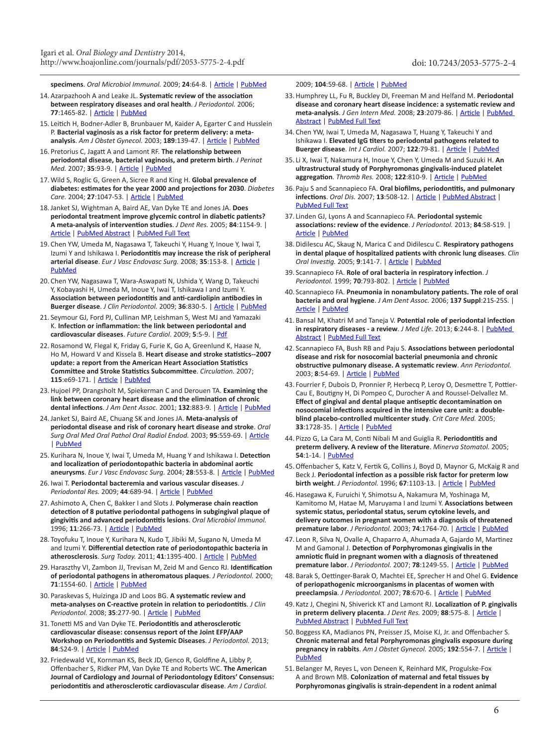<span id="page-5-0"></span>**specimens**. *Oral Microbiol Immunol.* 2009; **24**:64-8. | [Article](http://dx.doi.org/10.1111/j.1399-302X.2008.00479.x) | [PubMed](http://www.ncbi.nlm.nih.gov/pubmed/19121072?dopt=Citation)

- 14. Azarpazhooh A and Leake JL. **Systematic review of the association between respiratory diseases and oral health**. *J Periodontol.* 2006; **77**:1465-82. | [Article](http://dx.doi.org/10.1902/jop.2006.060010) | [PubMed](http://www.ncbi.nlm.nih.gov/pubmed/16945022?dopt=Citation)
- <span id="page-5-1"></span>15. Leitich H, Bodner-Adler B, Brunbauer M, Kaider A, Egarter C and Husslein P. **Bacterial vaginosis as a risk factor for preterm delivery: a metaanalysis**. *Am J Obstet Gynecol.* 2003; **189**:139-47. | [Article](http://dx.doi.org/10.1067/mob.2003.339) | [PubMed](http://www.ncbi.nlm.nih.gov/pubmed/12861153?dopt=Citation)
- <span id="page-5-2"></span>16. Pretorius C, Jagatt A and Lamont RF. **The relationship between periodontal disease, bacterial vaginosis, and preterm birth**. *J Perinat Med.* 2007; **35**:93-9. | [Article](http://dx.doi.org/10.1515/JPM.2007.039) | [PubMed](http://www.ncbi.nlm.nih.gov/pubmed/17343541?dopt=Citation)
- <span id="page-5-3"></span>17. Wild S, Roglic G, Green A, Sicree R and King H. **Global prevalence of diabetes: estimates for the year 2000 and projections for 2030**. *Diabetes Care.* 2004; **27**:1047-53. | [Article](http://dx.doi.org/10.2337/diacare.27.5.1047) | [PubMed](http://www.ncbi.nlm.nih.gov/pubmed/15111519?dopt=Citation)
- <span id="page-5-4"></span>18.Janket SJ, Wightman A, Baird AE, Van Dyke TE and Jones JA. **Does periodontal treatment improve glycemic control in diabetic patients? A meta-analysis of intervention studies**. *J Dent Res.* 2005; **84**:1154-9. | [Article](http://dx.doi.org/10.1177/154405910508401212) | [PubMed Abstract](http://www.ncbi.nlm.nih.gov/pubmed/16304446?dopt=Citation) | [PubMed Full Text](http://www.ncbi.nlm.nih.gov/pmc/articles/PMC1797067/)
- <span id="page-5-5"></span>19. Chen YW, Umeda M, Nagasawa T, Takeuchi Y, Huang Y, Inoue Y, Iwai T, Izumi Y and Ishikawa I. **Periodontitis may increase the risk of peripheral arterial disease**. *Eur J Vasc Endovasc Surg.* 2008; **35**:153-8. | [Article](http://dx.doi.org/10.1016/j.ejvs.2007.08.016) | [PubMed](http://www.ncbi.nlm.nih.gov/pubmed/17964192?dopt=Citation)
- <span id="page-5-6"></span>20. Chen YW, Nagasawa T, Wara-Aswapati N, Ushida Y, Wang D, Takeuchi Y, Kobayashi H, Umeda M, Inoue Y, Iwai T, Ishikawa I and Izumi Y. **Association between periodontitis and anti-cardiolipin antibodies in Buerger disease**. *J Clin Periodontol.* 2009; **36**:830-5. | [Article](http://dx.doi.org/10.1111/j.1600-051X.2009.01467.x) | [PubMed](http://www.ncbi.nlm.nih.gov/pubmed/19678860?dopt=Citation)
- <span id="page-5-7"></span>21. Seymour GJ, Ford PJ, Cullinan MP, Leishman S, West MJ and Yamazaki K. **Infection or inflammation: the link between periodontal and cardiovascular diseases**. *Future Cardiol*. 2009; **5**:5-9. | [Pdf](http://www.colgateprofessional.com/ColgateProfessional/Home/US/EN/ProfessionalEd/Publications/PDFs/Seymour.pdf)
- <span id="page-5-8"></span>22. Rosamond W, Flegal K, Friday G, Furie K, Go A, Greenlund K, Haase N, Ho M, Howard V and Kissela B. **Heart disease and stroke statistics--2007 update: a report from the American Heart Association Statistics Committee and Stroke Statistics Subcommittee**. *Circulation.* 2007; **115**:e69-171. | [Article](http://dx.doi.org/10.1161/CIRCULATIONAHA.106.179918) | [PubMed](http://www.ncbi.nlm.nih.gov/pubmed/17194875?dopt=Citation)
- <span id="page-5-9"></span>23.Hujoel PP, Drangsholt M, Spiekerman C and Derouen TA. **Examining the link between coronary heart disease and the elimination of chronic dental infections**. *J Am Dent Assoc.* 2001; **132**:883-9. | [Article](http://dx.doi.org/10.14219/jada.archive.2001.0300) | [PubMed](http://www.ncbi.nlm.nih.gov/pubmed/11480641?dopt=Citation)
- <span id="page-5-10"></span>24.Janket SJ, Baird AE, Chuang SK and Jones JA. **Meta-analysis of periodontal disease and risk of coronary heart disease and stroke**. *Oral Surg Oral Med Oral Pathol Oral Radiol Endod.* 2003; **95**:559-69. | [Article](http://dx.doi.org/10.1067/moe.2003.107) | [PubMed](http://www.ncbi.nlm.nih.gov/pubmed/12738947?dopt=Citation)
- <span id="page-5-11"></span>25. Kurihara N, Inoue Y, Iwai T, Umeda M, Huang Y and Ishikawa I. **Detection and localization of periodontopathic bacteria in abdominal aortic aneurysms**. *Eur J Vasc Endovasc Surg.* 2004; **28**:553-8. | [Article](http://dx.doi.org/10.1016/j.ejvs.2004.08.010) | [PubMed](http://www.ncbi.nlm.nih.gov/pubmed/15465379?dopt=Citation)
- <span id="page-5-12"></span>26. Iwai T. **Periodontal bacteremia and various vascular diseases**. *J Periodontal Res.* 2009; **44**:689-94. | [Article](http://dx.doi.org/10.1111/j.1600-0765.2008.01165.x) | [PubMed](http://www.ncbi.nlm.nih.gov/pubmed/19874452?dopt=Citation)
- <span id="page-5-13"></span>27. Ashimoto A, Chen C, Bakker I and Slots J. **Polymerase chain reaction detection of 8 putative periodontal pathogens in subgingival plaque of gingivitis and advanced periodontitis lesions**. *Oral Microbiol Immunol.* 1996; **11**:266-73. | [Article](http://dx.doi.org/10.1111/j.1399-302X.1996.tb00180.x) | [PubMed](http://www.ncbi.nlm.nih.gov/pubmed/9002880?dopt=Citation)
- <span id="page-5-14"></span>28. Toyofuku T, Inoue Y, Kurihara N, Kudo T, Jibiki M, Sugano N, Umeda M and Izumi Y. **Differential detection rate of periodontopathic bacteria in atherosclerosis**. *Surg Today.* 2011; **41**:1395-400. | [Article](http://dx.doi.org/10.1007/s00595-010-4496-5) | [PubMed](http://www.ncbi.nlm.nih.gov/pubmed/21922363?dopt=Citation)
- <span id="page-5-15"></span>29.Haraszthy VI, Zambon JJ, Trevisan M, Zeid M and Genco RJ. **Identification of periodontal pathogens in atheromatous plaques**. *J Periodontol.* 2000; **71**:1554-60. | [Article](http://dx.doi.org/10.1902/jop.2000.71.10.1554) | [PubMed](http://www.ncbi.nlm.nih.gov/pubmed/11063387?dopt=Citation)
- <span id="page-5-16"></span>30. Paraskevas S, Huizinga JD and Loos BG. **A systematic review and meta-analyses on C-reactive protein in relation to periodontitis**. *J Clin Periodontol.* 2008; **35**:277-90. | [Article](http://dx.doi.org/10.1111/j.1600-051X.2007.01173.x) | [PubMed](http://www.ncbi.nlm.nih.gov/pubmed/18294231?dopt=Citation)
- <span id="page-5-17"></span>31. Tonetti MS and Van Dyke TE. **Periodontitis and atherosclerotic cardiovascular disease: consensus report of the Joint EFP/AAP Workshop on Periodontitis and Systemic Diseases**. *J Periodontol.* 2013; **84**:S24-9. | [Article](http://dx.doi.org/10.1902/jop.2013.1340019) | [PubMed](http://www.ncbi.nlm.nih.gov/pubmed/23631582?dopt=Citation)
- <span id="page-5-18"></span>32. Friedewald VE, Kornman KS, Beck JD, Genco R, Goldfine A, Libby P, Offenbacher S, Ridker PM, Van Dyke TE and Roberts WC. **The American Journal of Cardiology and Journal of Periodontology Editors' Consensus: periodontitis and atherosclerotic cardiovascular disease**. *Am J Cardiol.*

<span id="page-5-19"></span>2009; **104**:59-68. | [Article](http://dx.doi.org/10.1016/j.amjcard.2009.05.002) | [PubMed](http://www.ncbi.nlm.nih.gov/pubmed/19576322?dopt=Citation)

- 33.Humphrey LL, Fu R, Buckley DI, Freeman M and Helfand M. **Periodontal disease and coronary heart disease incidence: a systematic review and meta-analysis**. *J Gen Intern Med.* 2008; **23**:2079-86. | [Article](http://dx.doi.org/10.1007/s11606-008-0787-6) | [PubMed](http://www.ncbi.nlm.nih.gov/pubmed/18807098?dopt=Citation)  [Abstract](http://www.ncbi.nlm.nih.gov/pubmed/18807098?dopt=Citation) | [PubMed Full Text](http://www.ncbi.nlm.nih.gov/pmc/articles/PMC2596495/)
- <span id="page-5-20"></span>34. Chen YW, Iwai T, Umeda M, Nagasawa T, Huang Y, Takeuchi Y and Ishikawa I. **Elevated IgG titers to periodontal pathogens related to Buerger disease**. *Int J Cardiol.* 2007; **122**:79-81. | [Article](http://dx.doi.org/10.1016/j.ijcard.2006.11.032) | [PubMed](http://www.ncbi.nlm.nih.gov/pubmed/17207873?dopt=Citation)
- <span id="page-5-21"></span>35. Li X, Iwai T, Nakamura H, Inoue Y, Chen Y, Umeda M and Suzuki H. **An ultrastructural study of Porphyromonas gingivalis-induced platelet aggregation**. *Thromb Res.* 2008; **122**:810-9. | [Article](http://dx.doi.org/10.1016/j.thromres.2008.03.011) | [PubMed](http://www.ncbi.nlm.nih.gov/pubmed/18448150?dopt=Citation)
- <span id="page-5-22"></span>36. Paju S and Scannapieco FA. **Oral biofilms, periodontitis, and pulmonary infections**. *Oral Dis.* 2007; **13**:508-12. | [Article](http://dx.doi.org/10.1111/j.1601-0825.2007.01410a.x) | [PubMed Abstract](http://www.ncbi.nlm.nih.gov/pubmed/17944664?dopt=Citation) | [PubMed Full Text](http://www.ncbi.nlm.nih.gov/pmc/articles/PMC2258093/)
- <span id="page-5-23"></span>37. Linden GJ, Lyons A and Scannapieco FA. **Periodontal systemic associations: review of the evidence**. *J Periodontol.* 2013; **84**:S8-S19. | [Article](http://dx.doi.org/10.1902/jop.2013.1340010) | [PubMed](http://www.ncbi.nlm.nih.gov/pubmed/23631586?dopt=Citation)
- <span id="page-5-24"></span>38.Didilescu AC, Skaug N, Marica C and Didilescu C. **Respiratory pathogens in dental plaque of hospitalized patients with chronic lung diseases**. *Clin Oral Investig.* 2005; **9**:141-7. | [Article](http://dx.doi.org/10.1007/s00784-005-0315-6) | [PubMed](http://www.ncbi.nlm.nih.gov/pubmed/15909174?dopt=Citation)
- <span id="page-5-25"></span>39. Scannapieco FA. **Role of oral bacteria in respiratory infection**. *J Periodontol.* 1999; **70**:793-802. | [Article](http://dx.doi.org/10.1902/jop.1999.70.7.793) | [PubMed](http://www.ncbi.nlm.nih.gov/pubmed/10440642?dopt=Citation)
- <span id="page-5-26"></span>40. Scannapieco FA. **Pneumonia in nonambulatory patients. The role of oral bacteria and oral hygiene**. *J Am Dent Assoc.* 2006; **137 Suppl**:21S-25S. | [Article](http://dx.doi.org/10.14219/jada.archive.2006.0400) | [PubMed](http://www.ncbi.nlm.nih.gov/pubmed/17012732?dopt=Citation)
- <span id="page-5-27"></span>41. Bansal M, Khatri M and Taneja V. **Potential role of periodontal infection in respiratory diseases - a review**. *J Med Life.* 2013; **6**:244-8. | [PubMed](http://www.ncbi.nlm.nih.gov/pubmed/24155782?dopt=Citation)  [Abstract](http://www.ncbi.nlm.nih.gov/pubmed/24155782?dopt=Citation) | [PubMed Full Text](http://www.ncbi.nlm.nih.gov/pmc/articles/PMC3786481/)
- <span id="page-5-28"></span>42. Scannapieco FA, Bush RB and Paju S. **Associations between periodontal disease and risk for nosocomial bacterial pneumonia and chronic obstructive pulmonary disease. A systematic review**. *Ann Periodontol.* 2003; **8**:54-69. | [Article](http://dx.doi.org/10.1902/annals.2003.8.1.54) | [PubMed](http://www.ncbi.nlm.nih.gov/pubmed/14971248?dopt=Citation)
- <span id="page-5-29"></span>43. Fourrier F, Dubois D, Pronnier P, Herbecq P, Leroy O, Desmettre T, Pottier-Cau E, Boutigny H, Di Pompeo C, Durocher A and Roussel-Delvallez M. **Effect of gingival and dental plaque antiseptic decontamination on nosocomial infections acquired in the intensive care unit: a doubleblind placebo-controlled multicenter study**. *Crit Care Med.* 2005; **33**:1728-35. | [Article](http://dx.doi.org/10.1097/01.CCM.0000171537.03493.B0) | [PubMed](http://www.ncbi.nlm.nih.gov/pubmed/16096449?dopt=Citation)
- <span id="page-5-30"></span>44. Pizzo G, La Cara M, Conti Nibali M and Guiglia R. **Periodontitis and preterm delivery. A review of the literature**. *Minerva Stomatol.* 2005; **54**:1-14. | [PubMed](http://www.ncbi.nlm.nih.gov/pubmed/15902058?dopt=Citation)
- <span id="page-5-31"></span>45.Offenbacher S, Katz V, Fertik G, Collins J, Boyd D, Maynor G, McKaig R and Beck J. **Periodontal infection as a possible risk factor for preterm low birth weight**. *J Periodontol.* 1996; **67**:1103-13. | [Article](http://dx.doi.org/10.1902/jop.1996.67.10s.1103) | [PubMed](http://www.ncbi.nlm.nih.gov/pubmed/8910829?dopt=Citation)
- <span id="page-5-32"></span>46.Hasegawa K, Furuichi Y, Shimotsu A, Nakamura M, Yoshinaga M, Kamitomo M, Hatae M, Maruyama I and Izumi Y. **Associations between systemic status, periodontal status, serum cytokine levels, and delivery outcomes in pregnant women with a diagnosis of threatened premature labor**. *J Periodontol.* 2003; **74**:1764-70. | [Article](http://dx.doi.org/10.1902/jop.2003.74.12.1764) | [PubMed](http://www.ncbi.nlm.nih.gov/pubmed/14974817?dopt=Citation)
- <span id="page-5-33"></span>47. Leon R, Silva N, Ovalle A, Chaparro A, Ahumada A, Gajardo M, Martinez M and Gamonal J. **Detection of Porphyromonas gingivalis in the amniotic fluid in pregnant women with a diagnosis of threatened premature labor**. *J Periodontol.* 2007; **78**:1249-55. | [Article](http://dx.doi.org/10.1902/jop.2007.060368) | [PubMed](http://www.ncbi.nlm.nih.gov/pubmed/17608580?dopt=Citation)
- <span id="page-5-34"></span>48. Barak S, Oettinger-Barak O, Machtei EE, Sprecher H and Ohel G. **Evidence of periopathogenic microorganisms in placentas of women with preeclampsia**. *J Periodontol.* 2007; **78**:670-6. | [Article](http://dx.doi.org/10.1902/jop.2007.060362) | [PubMed](http://www.ncbi.nlm.nih.gov/pubmed/17397314?dopt=Citation)
- <span id="page-5-35"></span>49. Katz J, Chegini N, Shiverick KT and Lamont RJ. **Localization of P. gingivalis in preterm delivery placenta**. *J Dent Res.* 2009; **88**:575-8. | [Article](http://dx.doi.org/10.1177/0022034509338032) | [PubMed Abstract](http://www.ncbi.nlm.nih.gov/pubmed/19587165?dopt=Citation) | [PubMed Full Text](http://www.ncbi.nlm.nih.gov/pmc/articles/PMC3144059/)
- <span id="page-5-36"></span>50. Boggess KA, Madianos PN, Preisser JS, Moise KJ, Jr. and Offenbacher S. **Chronic maternal and fetal Porphyromonas gingivalis exposure during pregnancy in rabbits**. *Am J Obstet Gynecol.* 2005; **192**:554-7. | [Article](http://dx.doi.org/10.1016/j.ajog.2004.09.001) | [PubMed](http://www.ncbi.nlm.nih.gov/pubmed/15696002?dopt=Citation)
- <span id="page-5-37"></span>51. Belanger M, Reyes L, von Deneen K, Reinhard MK, Progulske-Fox A and Brown MB. **Colonization of maternal and fetal tissues by Porphyromonas gingivalis is strain-dependent in a rodent animal**